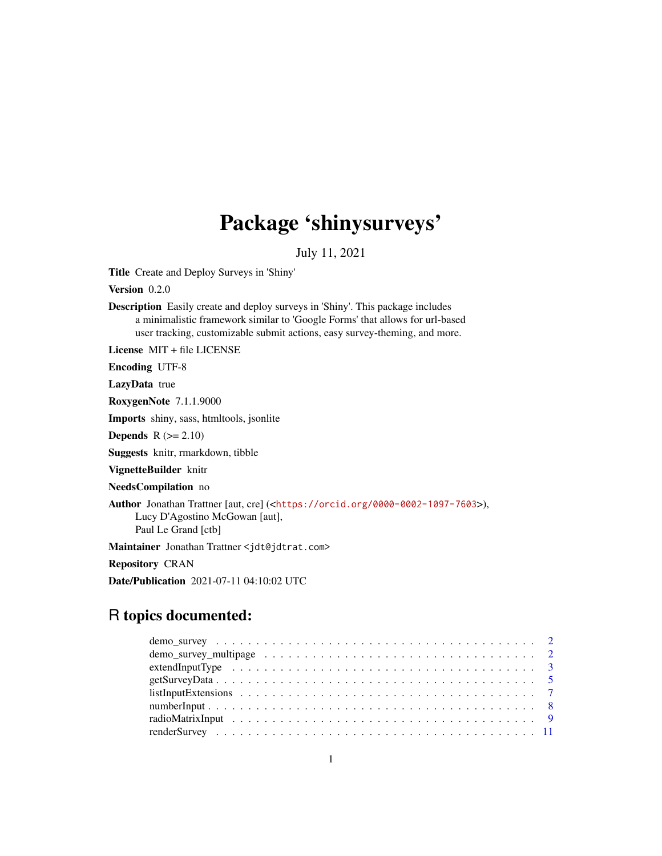# Package 'shinysurveys'

July 11, 2021

<span id="page-0-0"></span>Title Create and Deploy Surveys in 'Shiny'

Version 0.2.0

Description Easily create and deploy surveys in 'Shiny'. This package includes a minimalistic framework similar to 'Google Forms' that allows for url-based user tracking, customizable submit actions, easy survey-theming, and more.

License MIT + file LICENSE

Encoding UTF-8

LazyData true

RoxygenNote 7.1.1.9000

Imports shiny, sass, htmltools, jsonlite

**Depends**  $R$  ( $>= 2.10$ )

Suggests knitr, rmarkdown, tibble

VignetteBuilder knitr

NeedsCompilation no

Author Jonathan Trattner [aut, cre] (<<https://orcid.org/0000-0002-1097-7603>>), Lucy D'Agostino McGowan [aut], Paul Le Grand [ctb]

Maintainer Jonathan Trattner <jdt@jdtrat.com>

Repository CRAN

Date/Publication 2021-07-11 04:10:02 UTC

# R topics documented:

| demo_survey_multipage $\ldots \ldots \ldots \ldots \ldots \ldots \ldots \ldots \ldots \ldots \ldots \ldots 2$ |  |
|---------------------------------------------------------------------------------------------------------------|--|
|                                                                                                               |  |
|                                                                                                               |  |
|                                                                                                               |  |
|                                                                                                               |  |
|                                                                                                               |  |
|                                                                                                               |  |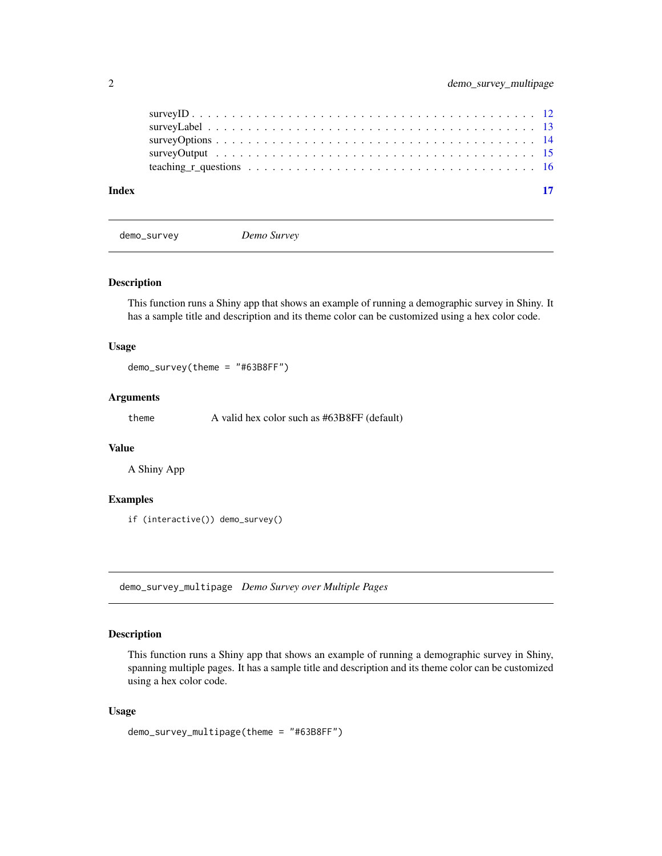<span id="page-1-0"></span>

| Index |  |
|-------|--|
|       |  |
|       |  |
|       |  |
|       |  |
|       |  |

demo\_survey *Demo Survey*

#### Description

This function runs a Shiny app that shows an example of running a demographic survey in Shiny. It has a sample title and description and its theme color can be customized using a hex color code.

# Usage

demo\_survey(theme = "#63B8FF")

# Arguments

theme A valid hex color such as #63B8FF (default)

# Value

A Shiny App

# Examples

if (interactive()) demo\_survey()

demo\_survey\_multipage *Demo Survey over Multiple Pages*

#### Description

This function runs a Shiny app that shows an example of running a demographic survey in Shiny, spanning multiple pages. It has a sample title and description and its theme color can be customized using a hex color code.

#### Usage

```
demo_survey_multipage(theme = "#63B8FF")
```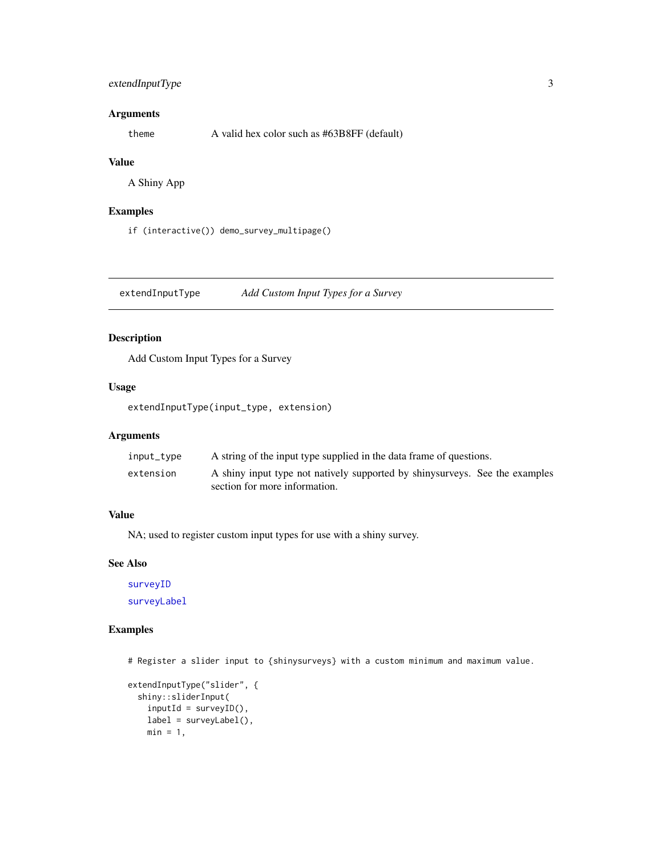# <span id="page-2-0"></span>extendInputType 3

# Arguments

theme A valid hex color such as #63B8FF (default)

#### Value

A Shiny App

# Examples

if (interactive()) demo\_survey\_multipage()

<span id="page-2-1"></span>extendInputType *Add Custom Input Types for a Survey*

# Description

Add Custom Input Types for a Survey

# Usage

extendInputType(input\_type, extension)

# Arguments

| input_type | A string of the input type supplied in the data frame of questions.                                           |  |
|------------|---------------------------------------------------------------------------------------------------------------|--|
| extension  | A shiny input type not natively supported by shiny surveys. See the examples<br>section for more information. |  |

# Value

NA; used to register custom input types for use with a shiny survey.

#### See Also

[surveyID](#page-11-1) [surveyLabel](#page-12-1)

# Examples

# Register a slider input to {shinysurveys} with a custom minimum and maximum value.

```
extendInputType("slider", {
  shiny::sliderInput(
   inputId = surveyID(),label = surveyLabel(),
   min = 1,
```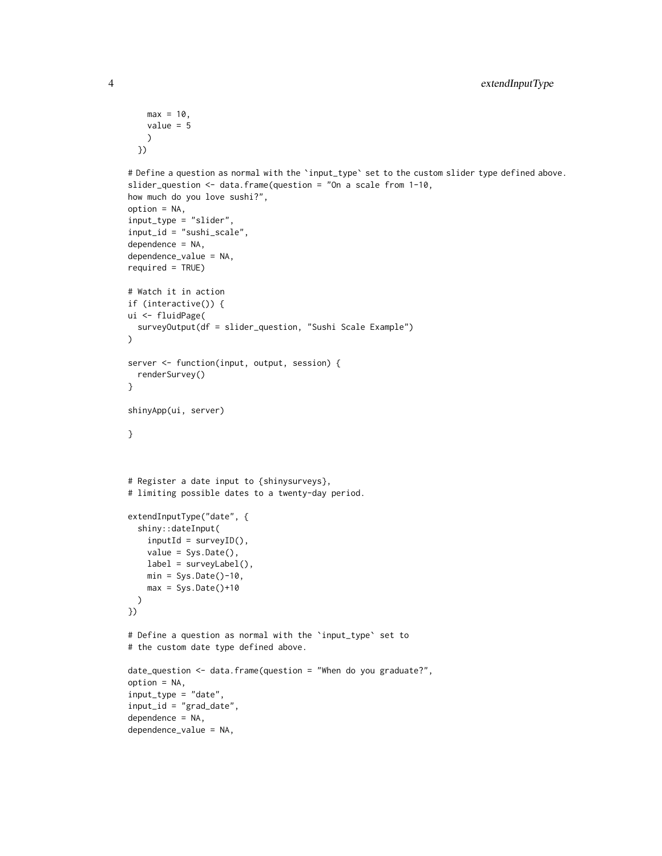```
max = 10,
    value = 5)
  })
# Define a question as normal with the 'input_type' set to the custom slider type defined above.
slider_question <- data.frame(question = "On a scale from 1-10,
how much do you love sushi?",
option = NA,
input_type = "slider",
input_id = "sushi_scale",
dependence = NA,
dependence_value = NA,
required = TRUE)
# Watch it in action
if (interactive()) {
ui <- fluidPage(
  surveyOutput(df = slider_question, "Sushi Scale Example")
\mathcal{L}server <- function(input, output, session) {
  renderSurvey()
}
shinyApp(ui, server)
}
# Register a date input to {shinysurveys},
# limiting possible dates to a twenty-day period.
extendInputType("date", {
  shiny::dateInput(
    inputId = surveyID(),
    value = Sys.Date(),
    label = surveyLabel(),
    min = Sys.Date() - 10,max = Sys.DataFrame() + 10)
})
# Define a question as normal with the `input_type` set to
# the custom date type defined above.
date_question <- data.frame(question = "When do you graduate?",
option = NA,
input_type = "date",
input_id = "grad_date",
dependence = NA,
dependence_value = NA,
```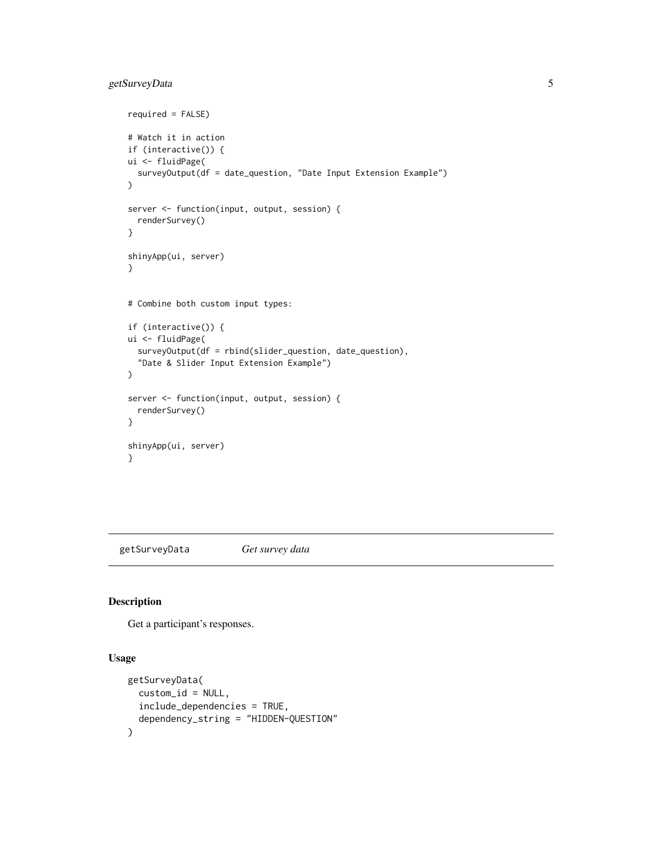# <span id="page-4-0"></span>getSurveyData 5

```
required = FALSE)
# Watch it in action
if (interactive()) {
ui <- fluidPage(
  surveyOutput(df = date_question, "Date Input Extension Example")
)
server <- function(input, output, session) {
  renderSurvey()
}
shinyApp(ui, server)
}
# Combine both custom input types:
if (interactive()) {
ui <- fluidPage(
  surveyOutput(df = rbind(slider_question, date_question),
  "Date & Slider Input Extension Example")
\mathcal{L}server <- function(input, output, session) {
  renderSurvey()
}
shinyApp(ui, server)
}
```
<span id="page-4-1"></span>getSurveyData *Get survey data*

#### Description

Get a participant's responses.

#### Usage

```
getSurveyData(
 custom_id = NULL,
  include_dependencies = TRUE,
  dependency_string = "HIDDEN-QUESTION"
)
```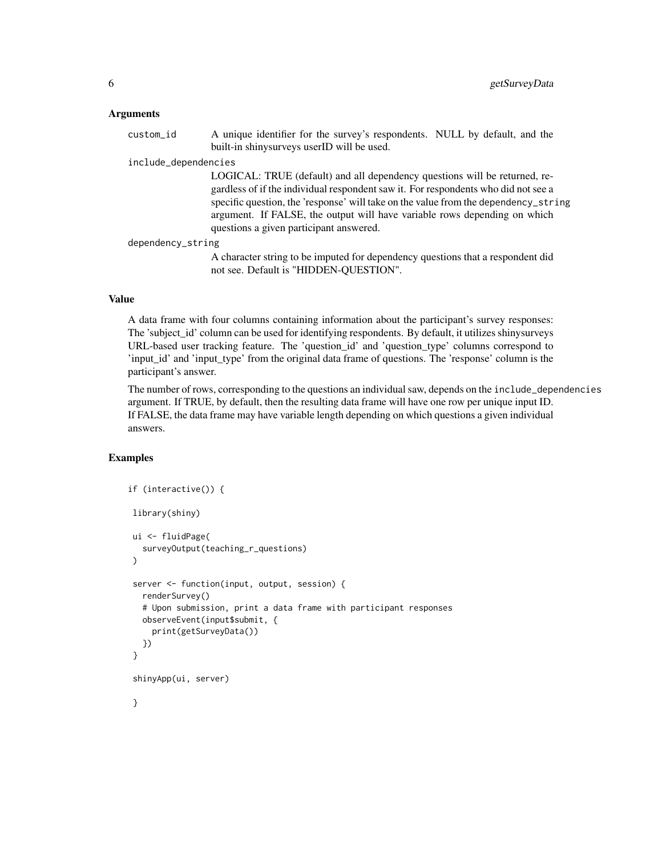#### Arguments

custom\_id A unique identifier for the survey's respondents. NULL by default, and the built-in shinysurveys userID will be used.

#### include\_dependencies

LOGICAL: TRUE (default) and all dependency questions will be returned, regardless of if the individual respondent saw it. For respondents who did not see a specific question, the 'response' will take on the value from the dependency\_string argument. If FALSE, the output will have variable rows depending on which questions a given participant answered.

#### dependency\_string

A character string to be imputed for dependency questions that a respondent did not see. Default is "HIDDEN-QUESTION".

#### Value

A data frame with four columns containing information about the participant's survey responses: The 'subject\_id' column can be used for identifying respondents. By default, it utilizes shinysurveys URL-based user tracking feature. The 'question\_id' and 'question\_type' columns correspond to 'input\_id' and 'input\_type' from the original data frame of questions. The 'response' column is the participant's answer.

The number of rows, corresponding to the questions an individual saw, depends on the include\_dependencies argument. If TRUE, by default, then the resulting data frame will have one row per unique input ID. If FALSE, the data frame may have variable length depending on which questions a given individual answers.

```
if (interactive()) {
library(shiny)
ui <- fluidPage(
  surveyOutput(teaching_r_questions)
)
server <- function(input, output, session) {
  renderSurvey()
  # Upon submission, print a data frame with participant responses
  observeEvent(input$submit, {
    print(getSurveyData())
  })
}
shinyApp(ui, server)
}
```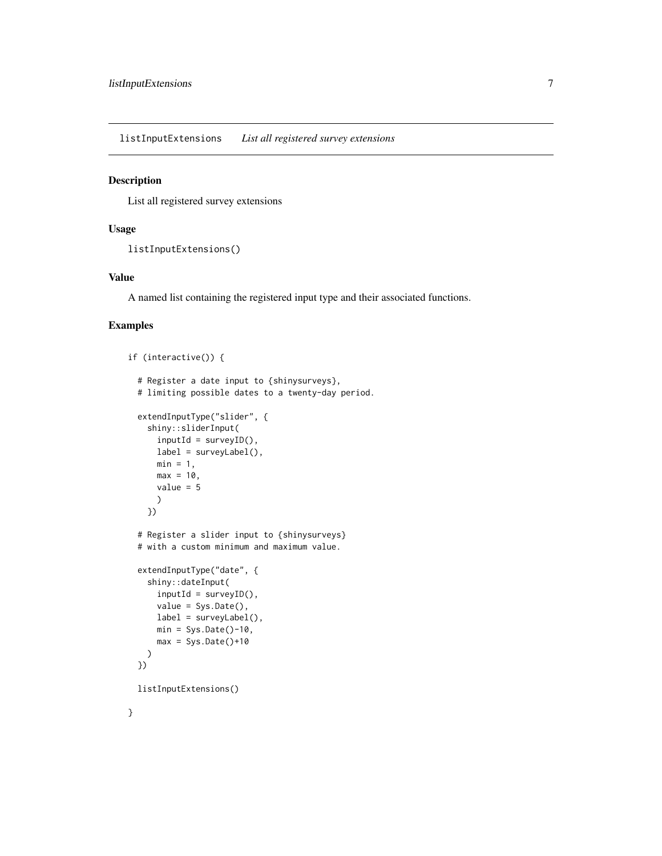<span id="page-6-0"></span>listInputExtensions *List all registered survey extensions*

### Description

List all registered survey extensions

#### Usage

```
listInputExtensions()
```
# Value

A named list containing the registered input type and their associated functions.

```
if (interactive()) {
 # Register a date input to {shinysurveys},
 # limiting possible dates to a twenty-day period.
 extendInputType("slider", {
    shiny::sliderInput(
      inputId = surveyID(),
      label = surveyLabel(),
     min = 1,
     max = 10,
     value = 5
      )
    })
 # Register a slider input to {shinysurveys}
 # with a custom minimum and maximum value.
 extendInputType("date", {
    shiny::dateInput(
      inputId = surveyID(),
      value = Sys.Date(),
      label = surveyLabel(),
     min = Sys.DataFrame() - 10,max = Sys.DataFrame() + 10)
 })
 listInputExtensions()
}
```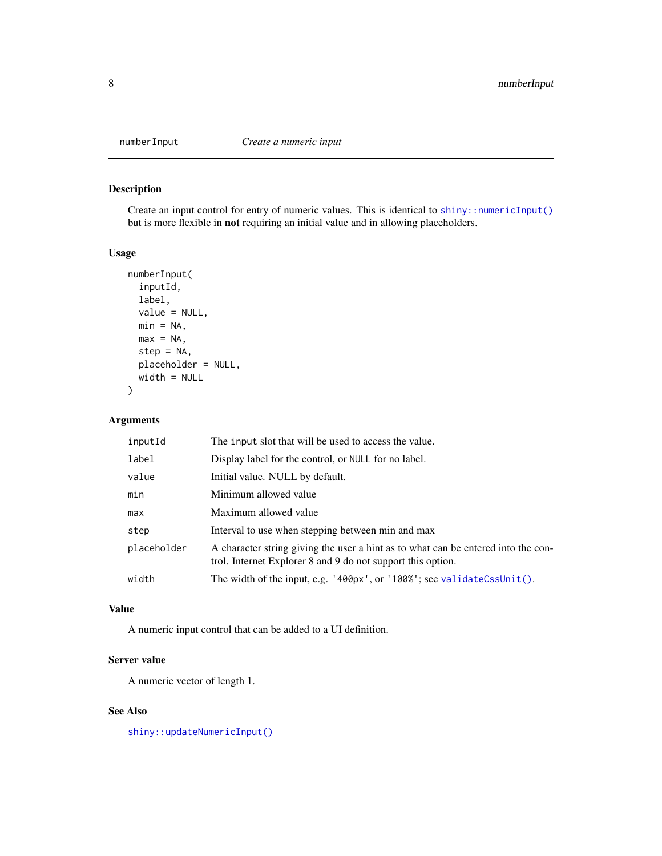<span id="page-7-0"></span>

# Description

Create an input control for entry of numeric values. This is identical to [shiny::numericInput\(\)](#page-0-0) but is more flexible in not requiring an initial value and in allowing placeholders.

#### Usage

```
numberInput(
  inputId,
  label,
  value = NULL,
 min = NA,
 max = NA,
  step = NA,
 placeholder = NULL,
 width = NULL
)
```
# Arguments

| inputId     | The input slot that will be used to access the value.                                                                                            |
|-------------|--------------------------------------------------------------------------------------------------------------------------------------------------|
| label       | Display label for the control, or NULL for no label.                                                                                             |
| value       | Initial value. NULL by default.                                                                                                                  |
| min         | Minimum allowed value                                                                                                                            |
| max         | Maximum allowed value                                                                                                                            |
| step        | Interval to use when stepping between min and max                                                                                                |
| placeholder | A character string giving the user a hint as to what can be entered into the con-<br>trol. Internet Explorer 8 and 9 do not support this option. |
| width       | The width of the input, e.g. $'400px'$ , or $'100%$ ; see validateCssUnit().                                                                     |

# Value

A numeric input control that can be added to a UI definition.

# Server value

A numeric vector of length 1.

# See Also

[shiny::updateNumericInput\(\)](#page-0-0)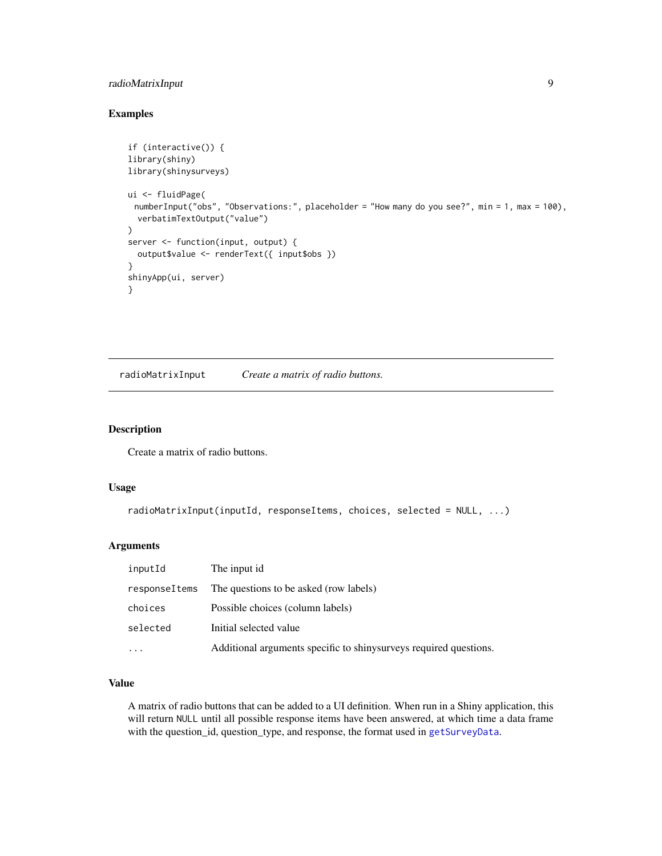# <span id="page-8-0"></span>radioMatrixInput 9

# Examples

```
if (interactive()) {
library(shiny)
library(shinysurveys)
ui <- fluidPage(
 numberInput("obs", "Observations:", placeholder = "How many do you see?", min = 1, max = 100),
  verbatimTextOutput("value")
\mathcal{L}server <- function(input, output) {
  output$value <- renderText({ input$obs })
}
shinyApp(ui, server)
}
```
radioMatrixInput *Create a matrix of radio buttons.*

#### Description

Create a matrix of radio buttons.

# Usage

```
radioMatrixInput(inputId, responseItems, choices, selected = NULL, ...)
```
# Arguments

| inputId       | The input id.                                                     |
|---------------|-------------------------------------------------------------------|
| responseItems | The questions to be asked (row labels)                            |
| choices       | Possible choices (column labels)                                  |
| selected      | Initial selected value                                            |
| $\ddotsc$     | Additional arguments specific to shinysurveys required questions. |

# Value

A matrix of radio buttons that can be added to a UI definition. When run in a Shiny application, this will return NULL until all possible response items have been answered, at which time a data frame with the question\_id, question\_type, and response, the format used in [getSurveyData](#page-4-1).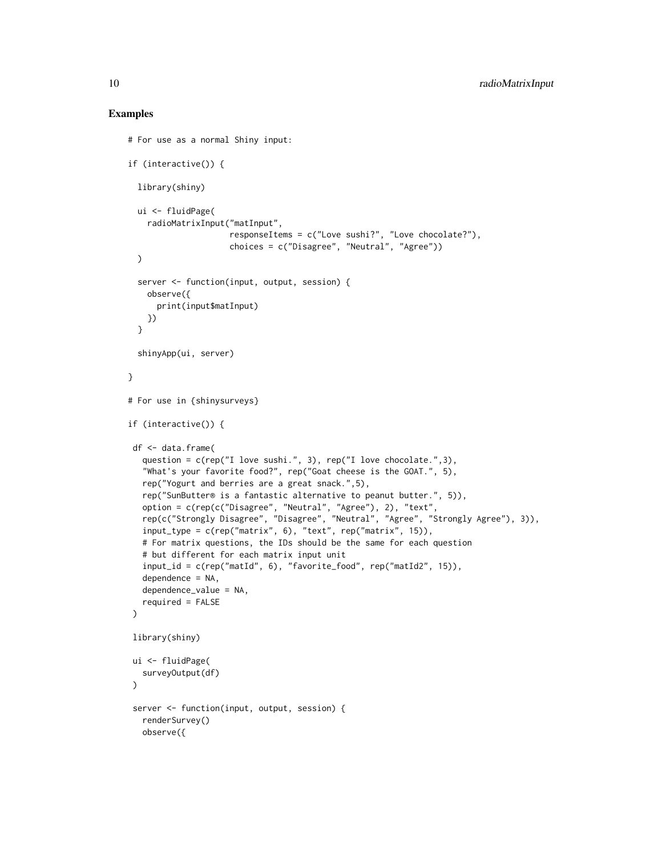```
# For use as a normal Shiny input:
if (interactive()) {
 library(shiny)
 ui <- fluidPage(
    radioMatrixInput("matInput",
                     responseItems = c("Love sushi?", "Love chocolate?"),
                     choices = c("Disagree", "Neutral", "Agree"))
 )
 server <- function(input, output, session) {
    observe({
     print(input$matInput)
   })
 }
 shinyApp(ui, server)
}
# For use in {shinysurveys}
if (interactive()) {
df <- data.frame(
  question = c(rep("I love sushi.", 3), rep("I love chocolate.",3),
   "What's your favorite food?", rep("Goat cheese is the GOAT.", 5),
  rep("Yogurt and berries are a great snack.",5),
  rep("SunButter® is a fantastic alternative to peanut butter.", 5)),
  option = c(rep(c("Disagree", "Neutral", "Agree"), 2), "text",
  rep(c("Strongly Disagree", "Disagree", "Neutral", "Agree", "Strongly Agree"), 3)),
   input_type = c(rep("matrix", 6), "text", rep("matrix", 15)),
   # For matrix questions, the IDs should be the same for each question
  # but different for each matrix input unit
  input_id = c(rep("matId", 6), "favorite_food", rep("matId2", 15)),
  dependence = NA,
  dependence_value = NA,
  required = FALSE
)
library(shiny)
ui <- fluidPage(
  surveyOutput(df)
)
server <- function(input, output, session) {
  renderSurvey()
  observe({
```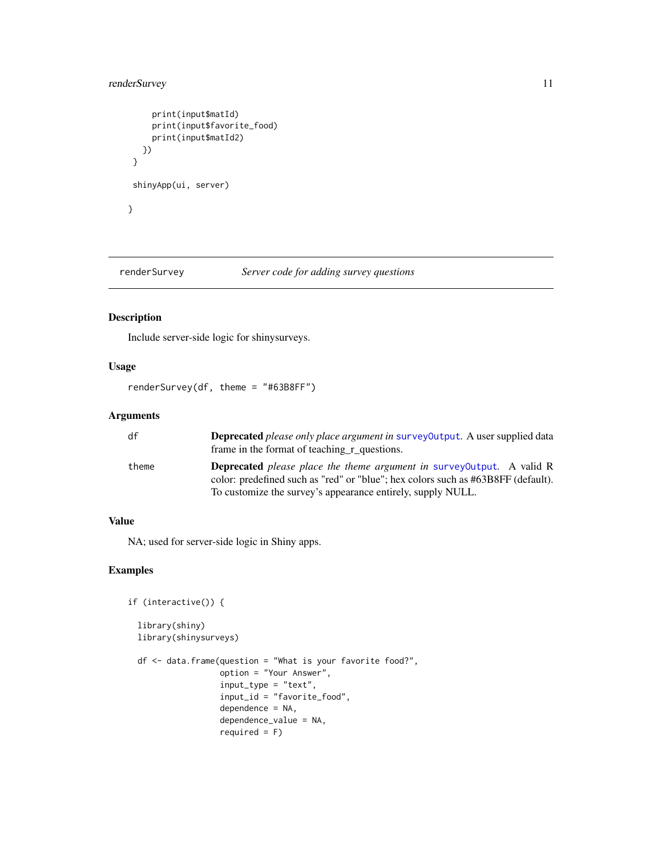# <span id="page-10-0"></span>renderSurvey 11

```
print(input$matId)
    print(input$favorite_food)
    print(input$matId2)
  })
}
shinyApp(ui, server)
}
```
renderSurvey *Server code for adding survey questions*

### Description

Include server-side logic for shinysurveys.

#### Usage

renderSurvey(df, theme = "#63B8FF")

# Arguments

| df    | <b>Deprecated</b> please only place argument in survey Output. A user supplied data<br>frame in the format of teaching r questions.                               |
|-------|-------------------------------------------------------------------------------------------------------------------------------------------------------------------|
| theme | <b>Deprecated</b> please place the theme argument in survey Output. A valid R<br>color: predefined such as "red" or "blue"; hex colors such as #63B8FF (default). |
|       | To customize the survey's appearance entirely, supply NULL.                                                                                                       |

# Value

NA; used for server-side logic in Shiny apps.

```
if (interactive()) {
 library(shiny)
 library(shinysurveys)
 df \leq - data.frame(question = "What is your favorite food?",
                   option = "Your Answer",
                   input_type = "text",
                   input_id = "favorite_food",
                   dependence = NA,
                   dependence_value = NA,
                   required = F)
```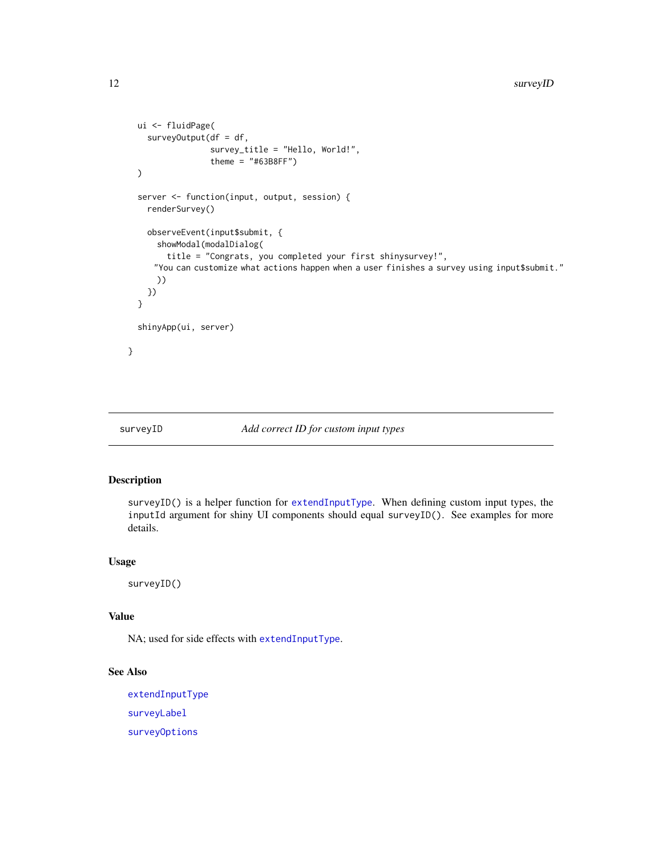```
ui <- fluidPage(
   surveyOutput(df = df,
                 survey_title = "Hello, World!",
                 theme = "#63B8FF")
 )
 server <- function(input, output, session) {
   renderSurvey()
   observeEvent(input$submit, {
      showModal(modalDialog(
       title = "Congrats, you completed your first shinysurvey!",
     "You can customize what actions happen when a user finishes a survey using input$submit."
      ))
   })
 }
 shinyApp(ui, server)
}
```
<span id="page-11-1"></span>surveyID *Add correct ID for custom input types*

# Description

surveyID() is a helper function for [extendInputType](#page-2-1). When defining custom input types, the inputId argument for shiny UI components should equal surveyID(). See examples for more details.

#### Usage

surveyID()

#### Value

NA; used for side effects with [extendInputType](#page-2-1).

# See Also

[extendInputType](#page-2-1) [surveyLabel](#page-12-1) [surveyOptions](#page-13-1)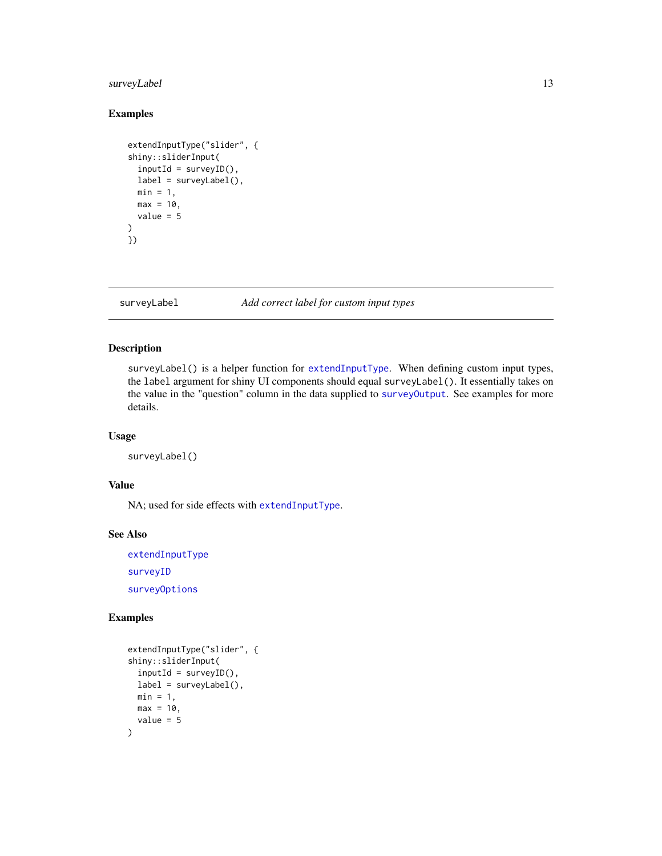# <span id="page-12-0"></span>surveyLabel 13

# Examples

```
extendInputType("slider", {
shiny::sliderInput(
  inputId = surveyID(),
  label = surveyLabel(),
 min = 1,
 max = 10,
  value = 5\mathcal{L}})
```
<span id="page-12-1"></span>surveyLabel *Add correct label for custom input types*

# Description

surveyLabel() is a helper function for [extendInputType](#page-2-1). When defining custom input types, the label argument for shiny UI components should equal surveyLabel(). It essentially takes on the value in the "question" column in the data supplied to [surveyOutput](#page-14-1). See examples for more details.

#### Usage

```
surveyLabel()
```
# Value

NA; used for side effects with [extendInputType](#page-2-1).

#### See Also

[extendInputType](#page-2-1) [surveyID](#page-11-1) [surveyOptions](#page-13-1)

```
extendInputType("slider", {
shiny::sliderInput(
 inputId = surveyID(),label = surveyLabel(),
 min = 1,
 max = 10,
 value = 5
)
```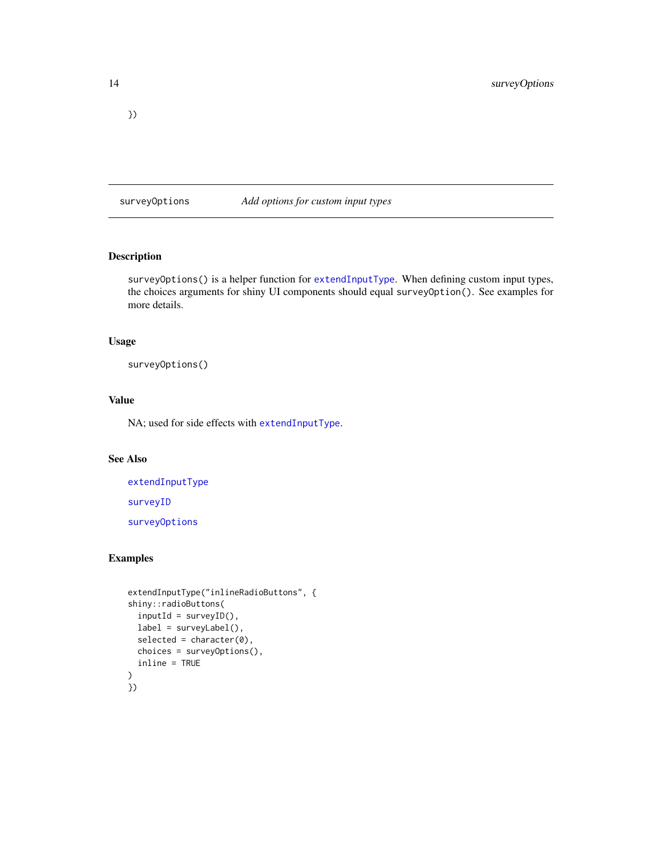<span id="page-13-0"></span>})

<span id="page-13-1"></span>surveyOptions *Add options for custom input types*

# Description

surveyOptions() is a helper function for [extendInputType](#page-2-1). When defining custom input types, the choices arguments for shiny UI components should equal surveyOption(). See examples for more details.

# Usage

surveyOptions()

# Value

NA; used for side effects with [extendInputType](#page-2-1).

# See Also

[extendInputType](#page-2-1) [surveyID](#page-11-1)

[surveyOptions](#page-13-1)

```
extendInputType("inlineRadioButtons", {
shiny::radioButtons(
 inputId = surveyID(),
 label = surveyLabel(),
 selected = character(0),
 choices = surveyOptions(),
 inline = TRUE
)
})
```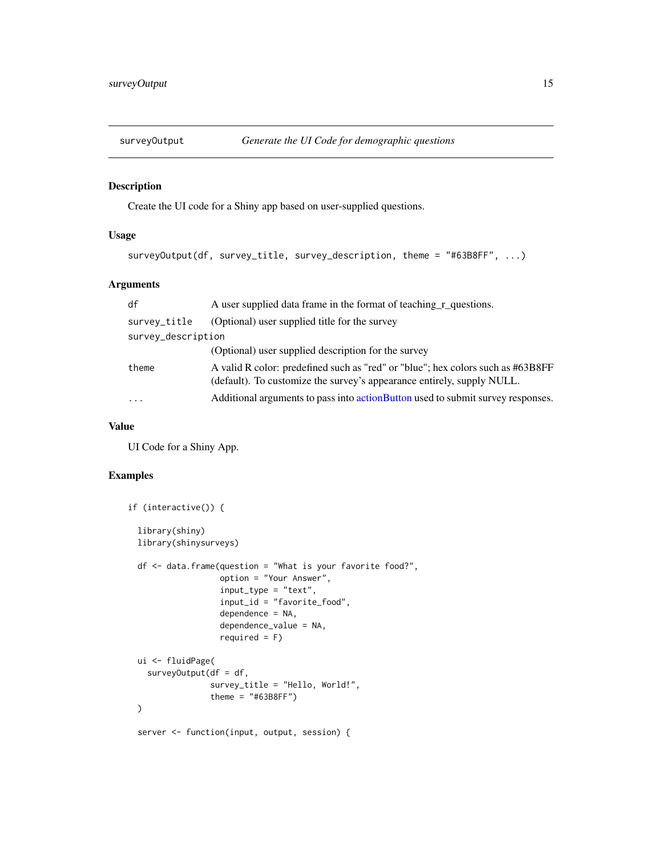<span id="page-14-1"></span><span id="page-14-0"></span>

# Description

Create the UI code for a Shiny app based on user-supplied questions.

# Usage

```
surveyOutput(df, survey_title, survey_description, theme = "#63B8FF", ...)
```
# Arguments

| df                 | A user supplied data frame in the format of teaching r_questions.                                                                                         |
|--------------------|-----------------------------------------------------------------------------------------------------------------------------------------------------------|
| survey_title       | (Optional) user supplied title for the survey                                                                                                             |
| survey_description |                                                                                                                                                           |
|                    | (Optional) user supplied description for the survey                                                                                                       |
| theme              | A valid R color: predefined such as "red" or "blue"; hex colors such as #63B8FF<br>(default). To customize the survey's appearance entirely, supply NULL. |
| $\cdots$           | Additional arguments to pass into action Button used to submit survey responses.                                                                          |

# Value

UI Code for a Shiny App.

# Examples

```
if (interactive()) {
 library(shiny)
 library(shinysurveys)
 df <- data.frame(question = "What is your favorite food?",
                  option = "Your Answer",
                   input_type = "text",
                   input_id = "favorite_food",
                   dependence = NA,
                   dependence_value = NA,
                   required = F)
 ui <- fluidPage(
   surveyOutput(df = df,
                 survey_title = "Hello, World!",
                 theme = "#63B8FF")
 )
```
server <- function(input, output, session) {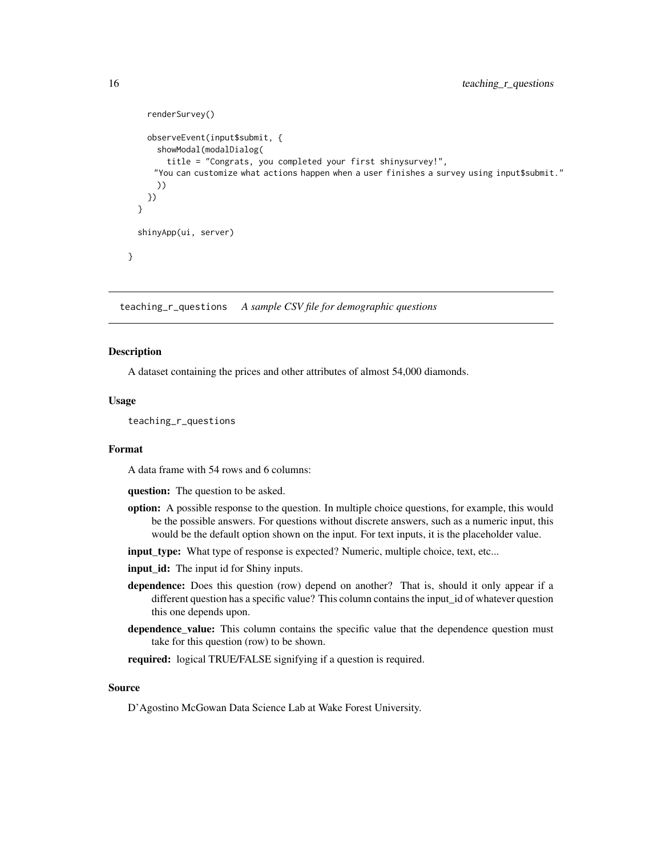```
renderSurvey()
    observeEvent(input$submit, {
      showModal(modalDialog(
        title = "Congrats, you completed your first shinysurvey!",
     "You can customize what actions happen when a user finishes a survey using input$submit."
      ))
   })
 }
 shinyApp(ui, server)
}
```
teaching\_r\_questions *A sample CSV file for demographic questions*

# Description

A dataset containing the prices and other attributes of almost 54,000 diamonds.

#### Usage

teaching\_r\_questions

#### Format

A data frame with 54 rows and 6 columns:

question: The question to be asked.

- option: A possible response to the question. In multiple choice questions, for example, this would be the possible answers. For questions without discrete answers, such as a numeric input, this would be the default option shown on the input. For text inputs, it is the placeholder value.
- input\_type: What type of response is expected? Numeric, multiple choice, text, etc...
- input\_id: The input id for Shiny inputs.
- dependence: Does this question (row) depend on another? That is, should it only appear if a different question has a specific value? This column contains the input\_id of whatever question this one depends upon.
- dependence\_value: This column contains the specific value that the dependence question must take for this question (row) to be shown.

required: logical TRUE/FALSE signifying if a question is required.

#### Source

D'Agostino McGowan Data Science Lab at Wake Forest University.